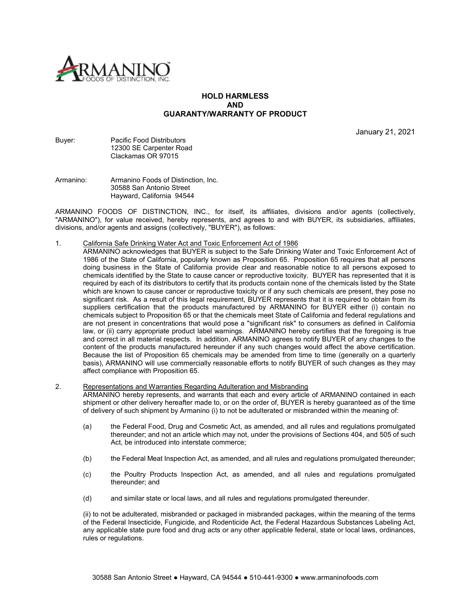

# **HOLD HARMLESS AND GUARANTY/WARRANTY OF PRODUCT**

January 21, 2021

#### Buyer: Pacific Food Distributors 12300 SE Carpenter Road Clackamas OR 97015

### Armanino: Armanino Foods of Distinction, Inc. 30588 San Antonio Street Hayward, California 94544

ARMANINO FOODS OF DISTINCTION, INC., for itself, its affiliates, divisions and/or agents (collectively, "ARMANINO"), for value received, hereby represents, and agrees to and with BUYER, its subsidiaries, affiliates, divisions, and/or agents and assigns (collectively, "BUYER"), as follows:

- 1. California Safe Drinking Water Act and Toxic Enforcement Act of 1986
	- **ARMANINO acknowledges that BUYER is subject to the Safe Drinking Water and Toxic Enforcement Act of** 1986 of the State of California, popularly known as Proposition 65. Proposition 65 requires that all persons doing business in the State of California provide clear and reasonable notice to all persons exposed to chemicals identified by the State to cause cancer or reproductive toxicity. BUYER has represented that it is required by each of its distributors to certify that its products contain none of the chemicals listed by the State which are known to cause cancer or reproductive toxicity or if any such chemicals are present, they pose no significant risk. As a result of this legal requirement, BUYER represents that it is required to obtain from its suppliers certification that the products manufactured by ARMANINO for BUYER either (i) contain no chemicals subject to Proposition 65 or that the chemicals meet State of California and federal regulations and are not present in concentrations that would pose a "significant risk" to consumers as defined in California law, or (ii) carry appropriate product label warnings. ARMANINO hereby certifies that the foregoing is true and correct in all material respects. In addition, ARMANINO agrees to notify BUYER of any changes to the content of the products manufactured hereunder if any such changes would affect the above certification. Because the list of Proposition 65 chemicals may be amended from time to time (generally on a quarterly basis), ARMANINO will use commercially reasonable efforts to notify BUYER of such changes as they may affect compliance with Proposition 65.

#### 2. Representations and Warranties Regarding Adulteration and Misbranding

ARMANINO hereby represents, and warrants that each and every article of ARMANINO contained in each shipment or other delivery hereafter made to, or on the order of, BUYER is hereby guaranteed as of the time of delivery of such shipment by Armanino (i) to not be adulterated or misbranded within the meaning of:

- (a) the Federal Food, Drug and Cosmetic Act, as amended, and all rules and regulations promulgated thereunder; and not an article which may not, under the provisions of Sections 404, and 505 of such Act, be introduced into interstate commerce;
- (b) the Federal Meat Inspection Act, as amended, and all rules and regulations promulgated thereunder;
- (c) the Poultry Products Inspection Act, as amended, and all rules and regulations promulgated thereunder; and
- (d) and similar state or local laws, and all rules and regulations promulgated thereunder.

(ii) to not be adulterated, misbranded or packaged in misbranded packages, within the meaning of the terms of the Federal Insecticide, Fungicide, and Rodenticide Act, the Federal Hazardous Substances Labeling Act, any applicable state pure food and drug acts or any other applicable federal, state or local laws, ordinances, rules or regulations.